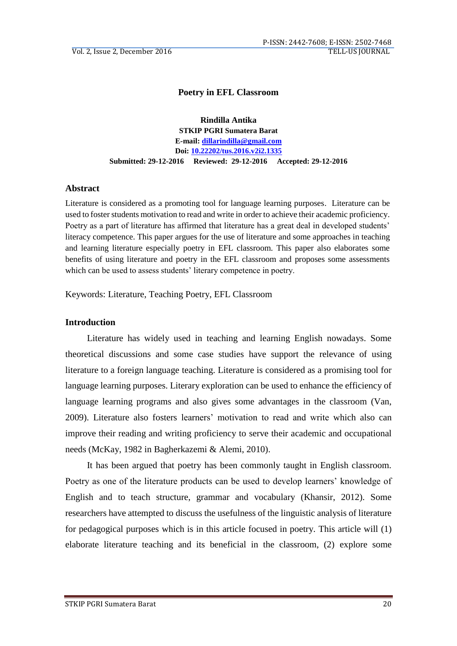## **Poetry in EFL Classroom**

**Rindilla Antika STKIP PGRI Sumatera Barat E-mail: [dillarindilla@gmail.com](mailto:dillarindilla@gmail.com) Doi: [10.22202/tus.2016.v2i2.1335](https://doi.org/10.22202/tus.2016.v2i2.1335) Submitted: 29-12-2016 Reviewed: 29-12-2016 Accepted: 29-12-2016**

#### **Abstract**

Literature is considered as a promoting tool for language learning purposes. Literature can be used to foster students motivation to read and write in order to achieve their academic proficiency. Poetry as a part of literature has affirmed that literature has a great deal in developed students' literacy competence. This paper argues for the use of literature and some approaches in teaching and learning literature especially poetry in EFL classroom. This paper also elaborates some benefits of using literature and poetry in the EFL classroom and proposes some assessments which can be used to assess students' literary competence in poetry.

Keywords: Literature, Teaching Poetry, EFL Classroom

#### **Introduction**

Literature has widely used in teaching and learning English nowadays. Some theoretical discussions and some case studies have support the relevance of using literature to a foreign language teaching. Literature is considered as a promising tool for language learning purposes. Literary exploration can be used to enhance the efficiency of language learning programs and also gives some advantages in the classroom (Van, 2009). Literature also fosters learners' motivation to read and write which also can improve their reading and writing proficiency to serve their academic and occupational needs (McKay, 1982 in Bagherkazemi & Alemi, 2010).

It has been argued that poetry has been commonly taught in English classroom. Poetry as one of the literature products can be used to develop learners' knowledge of English and to teach structure, grammar and vocabulary (Khansir, 2012). Some researchers have attempted to discuss the usefulness of the linguistic analysis of literature for pedagogical purposes which is in this article focused in poetry. This article will (1) elaborate literature teaching and its beneficial in the classroom, (2) explore some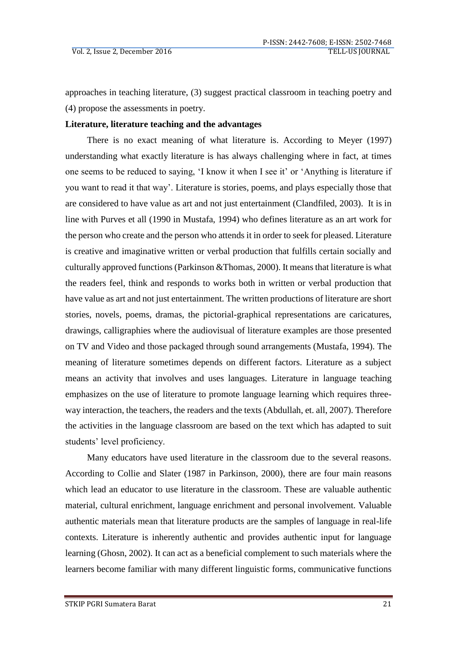approaches in teaching literature, (3) suggest practical classroom in teaching poetry and (4) propose the assessments in poetry.

### **Literature, literature teaching and the advantages**

There is no exact meaning of what literature is. According to Meyer (1997) understanding what exactly literature is has always challenging where in fact, at times one seems to be reduced to saying, 'I know it when I see it' or 'Anything is literature if you want to read it that way'. Literature is stories, poems, and plays especially those that are considered to have value as art and not just entertainment (Clandfiled, 2003). It is in line with Purves et all (1990 in Mustafa, 1994) who defines literature as an art work for the person who create and the person who attends it in order to seek for pleased. Literature is creative and imaginative written or verbal production that fulfills certain socially and culturally approved functions (Parkinson &Thomas, 2000). It means that literature is what the readers feel, think and responds to works both in written or verbal production that have value as art and not just entertainment. The written productions of literature are short stories, novels, poems, dramas, the pictorial-graphical representations are caricatures, drawings, calligraphies where the audiovisual of literature examples are those presented on TV and Video and those packaged through sound arrangements (Mustafa, 1994). The meaning of literature sometimes depends on different factors. Literature as a subject means an activity that involves and uses languages. Literature in language teaching emphasizes on the use of literature to promote language learning which requires threeway interaction, the teachers, the readers and the texts (Abdullah, et. all, 2007). Therefore the activities in the language classroom are based on the text which has adapted to suit students' level proficiency.

Many educators have used literature in the classroom due to the several reasons. According to Collie and Slater (1987 in Parkinson, 2000), there are four main reasons which lead an educator to use literature in the classroom. These are valuable authentic material, cultural enrichment, language enrichment and personal involvement. Valuable authentic materials mean that literature products are the samples of language in real-life contexts. Literature is inherently authentic and provides authentic input for language learning (Ghosn, 2002). It can act as a beneficial complement to such materials where the learners become familiar with many different linguistic forms, communicative functions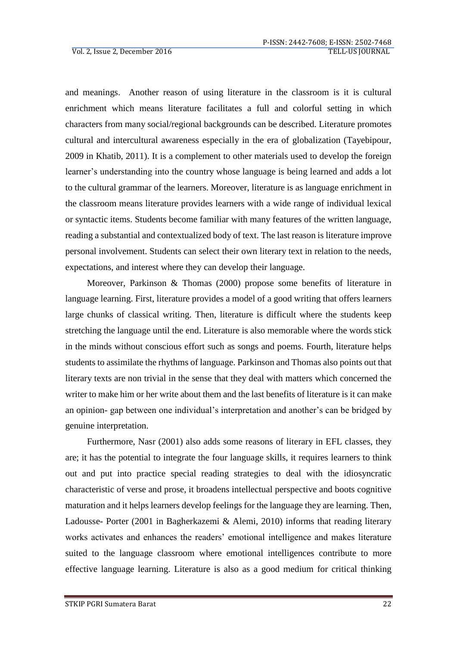and meanings. Another reason of using literature in the classroom is it is cultural enrichment which means literature facilitates a full and colorful setting in which characters from many social/regional backgrounds can be described. Literature promotes cultural and intercultural awareness especially in the era of globalization (Tayebipour, 2009 in Khatib, 2011). It is a complement to other materials used to develop the foreign learner's understanding into the country whose language is being learned and adds a lot to the cultural grammar of the learners. Moreover, literature is as language enrichment in the classroom means literature provides learners with a wide range of individual lexical or syntactic items. Students become familiar with many features of the written language, reading a substantial and contextualized body of text. The last reason is literature improve personal involvement. Students can select their own literary text in relation to the needs, expectations, and interest where they can develop their language.

Moreover, Parkinson & Thomas (2000) propose some benefits of literature in language learning. First, literature provides a model of a good writing that offers learners large chunks of classical writing. Then, literature is difficult where the students keep stretching the language until the end. Literature is also memorable where the words stick in the minds without conscious effort such as songs and poems. Fourth, literature helps students to assimilate the rhythms of language. Parkinson and Thomas also points out that literary texts are non trivial in the sense that they deal with matters which concerned the writer to make him or her write about them and the last benefits of literature is it can make an opinion- gap between one individual's interpretation and another's can be bridged by genuine interpretation.

Furthermore, Nasr (2001) also adds some reasons of literary in EFL classes, they are; it has the potential to integrate the four language skills, it requires learners to think out and put into practice special reading strategies to deal with the idiosyncratic characteristic of verse and prose, it broadens intellectual perspective and boots cognitive maturation and it helps learners develop feelings for the language they are learning. Then, Ladousse- Porter (2001 in Bagherkazemi & Alemi, 2010) informs that reading literary works activates and enhances the readers' emotional intelligence and makes literature suited to the language classroom where emotional intelligences contribute to more effective language learning. Literature is also as a good medium for critical thinking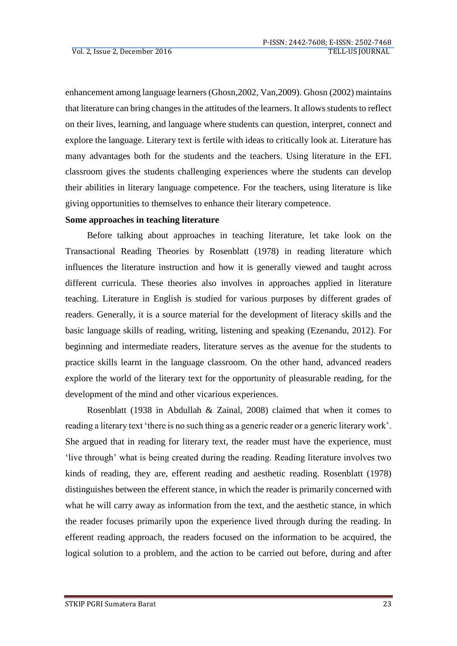enhancement among language learners (Ghosn,2002, Van,2009). Ghosn (2002) maintains that literature can bring changes in the attitudes of the learners. It allows students to reflect on their lives, learning, and language where students can question, interpret, connect and explore the language. Literary text is fertile with ideas to critically look at. Literature has many advantages both for the students and the teachers. Using literature in the EFL classroom gives the students challenging experiences where the students can develop their abilities in literary language competence. For the teachers, using literature is like giving opportunities to themselves to enhance their literary competence.

## **Some approaches in teaching literature**

Before talking about approaches in teaching literature, let take look on the Transactional Reading Theories by Rosenblatt (1978) in reading literature which influences the literature instruction and how it is generally viewed and taught across different curricula. These theories also involves in approaches applied in literature teaching. Literature in English is studied for various purposes by different grades of readers. Generally, it is a source material for the development of literacy skills and the basic language skills of reading, writing, listening and speaking (Ezenandu, 2012). For beginning and intermediate readers, literature serves as the avenue for the students to practice skills learnt in the language classroom. On the other hand, advanced readers explore the world of the literary text for the opportunity of pleasurable reading, for the development of the mind and other vicarious experiences.

Rosenblatt (1938 in Abdullah & Zainal, 2008) claimed that when it comes to reading a literary text 'there is no such thing as a generic reader or a generic literary work'. She argued that in reading for literary text, the reader must have the experience, must 'live through' what is being created during the reading. Reading literature involves two kinds of reading, they are, efferent reading and aesthetic reading. Rosenblatt (1978) distinguishes between the efferent stance, in which the reader is primarily concerned with what he will carry away as information from the text, and the aesthetic stance, in which the reader focuses primarily upon the experience lived through during the reading. In efferent reading approach, the readers focused on the information to be acquired, the logical solution to a problem, and the action to be carried out before, during and after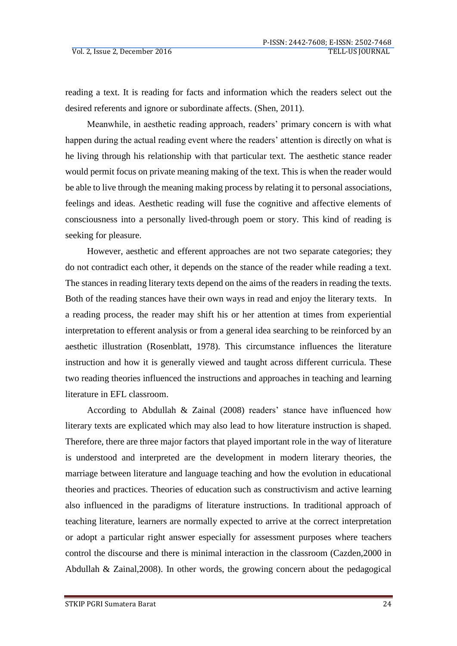reading a text. It is reading for facts and information which the readers select out the desired referents and ignore or subordinate affects. (Shen, 2011).

Meanwhile, in aesthetic reading approach, readers' primary concern is with what happen during the actual reading event where the readers' attention is directly on what is he living through his relationship with that particular text. The aesthetic stance reader would permit focus on private meaning making of the text. This is when the reader would be able to live through the meaning making process by relating it to personal associations, feelings and ideas. Aesthetic reading will fuse the cognitive and affective elements of consciousness into a personally lived-through poem or story. This kind of reading is seeking for pleasure.

However, aesthetic and efferent approaches are not two separate categories; they do not contradict each other, it depends on the stance of the reader while reading a text. The stances in reading literary texts depend on the aims of the readers in reading the texts. Both of the reading stances have their own ways in read and enjoy the literary texts. In a reading process, the reader may shift his or her attention at times from experiential interpretation to efferent analysis or from a general idea searching to be reinforced by an aesthetic illustration (Rosenblatt, 1978). This circumstance influences the literature instruction and how it is generally viewed and taught across different curricula. These two reading theories influenced the instructions and approaches in teaching and learning literature in EFL classroom.

According to Abdullah & Zainal (2008) readers' stance have influenced how literary texts are explicated which may also lead to how literature instruction is shaped. Therefore, there are three major factors that played important role in the way of literature is understood and interpreted are the development in modern literary theories, the marriage between literature and language teaching and how the evolution in educational theories and practices. Theories of education such as constructivism and active learning also influenced in the paradigms of literature instructions. In traditional approach of teaching literature, learners are normally expected to arrive at the correct interpretation or adopt a particular right answer especially for assessment purposes where teachers control the discourse and there is minimal interaction in the classroom (Cazden,2000 in Abdullah & Zainal,2008). In other words, the growing concern about the pedagogical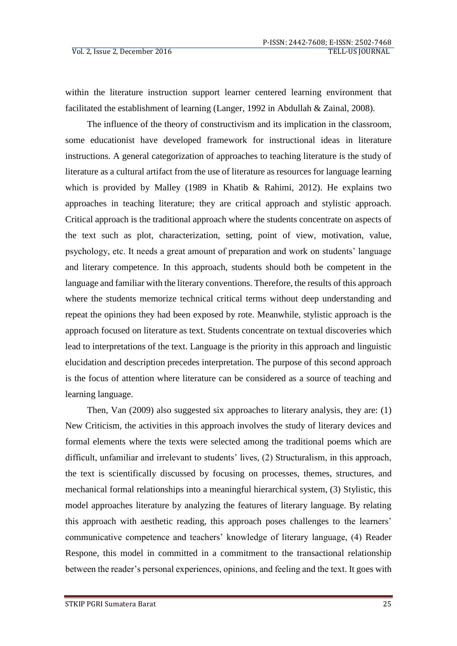within the literature instruction support learner centered learning environment that facilitated the establishment of learning (Langer, 1992 in Abdullah & Zainal, 2008).

The influence of the theory of constructivism and its implication in the classroom, some educationist have developed framework for instructional ideas in literature instructions. A general categorization of approaches to teaching literature is the study of literature as a cultural artifact from the use of literature as resources for language learning which is provided by Malley (1989 in Khatib & Rahimi, 2012). He explains two approaches in teaching literature; they are critical approach and stylistic approach. Critical approach is the traditional approach where the students concentrate on aspects of the text such as plot, characterization, setting, point of view, motivation, value, psychology, etc. It needs a great amount of preparation and work on students' language and literary competence. In this approach, students should both be competent in the language and familiar with the literary conventions. Therefore, the results of this approach where the students memorize technical critical terms without deep understanding and repeat the opinions they had been exposed by rote. Meanwhile, stylistic approach is the approach focused on literature as text. Students concentrate on textual discoveries which lead to interpretations of the text. Language is the priority in this approach and linguistic elucidation and description precedes interpretation. The purpose of this second approach is the focus of attention where literature can be considered as a source of teaching and learning language.

Then, Van (2009) also suggested six approaches to literary analysis, they are: (1) New Criticism, the activities in this approach involves the study of literary devices and formal elements where the texts were selected among the traditional poems which are difficult, unfamiliar and irrelevant to students' lives, (2) Structuralism, in this approach, the text is scientifically discussed by focusing on processes, themes, structures, and mechanical formal relationships into a meaningful hierarchical system, (3) Stylistic, this model approaches literature by analyzing the features of literary language. By relating this approach with aesthetic reading, this approach poses challenges to the learners' communicative competence and teachers' knowledge of literary language, (4) Reader Respone, this model in committed in a commitment to the transactional relationship between the reader's personal experiences, opinions, and feeling and the text. It goes with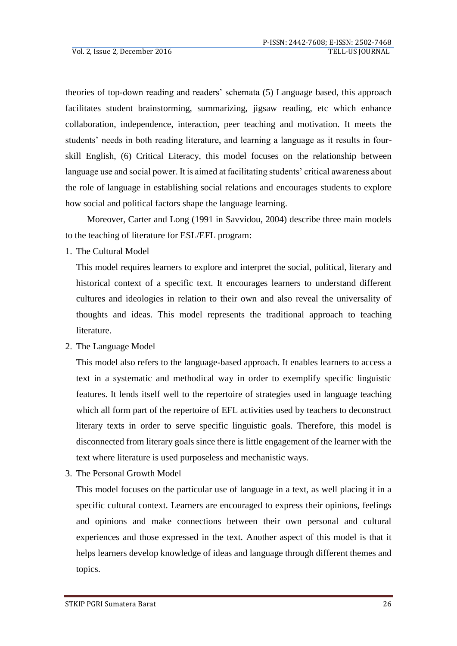theories of top-down reading and readers' schemata (5) Language based, this approach facilitates student brainstorming, summarizing, jigsaw reading, etc which enhance collaboration, independence, interaction, peer teaching and motivation. It meets the students' needs in both reading literature, and learning a language as it results in fourskill English, (6) Critical Literacy, this model focuses on the relationship between language use and social power. It is aimed at facilitating students' critical awareness about the role of language in establishing social relations and encourages students to explore how social and political factors shape the language learning.

Moreover, Carter and Long (1991 in Savvidou, 2004) describe three main models to the teaching of literature for ESL/EFL program:

1. The Cultural Model

This model requires learners to explore and interpret the social, political, literary and historical context of a specific text. It encourages learners to understand different cultures and ideologies in relation to their own and also reveal the universality of thoughts and ideas. This model represents the traditional approach to teaching literature.

2. The Language Model

This model also refers to the language-based approach. It enables learners to access a text in a systematic and methodical way in order to exemplify specific linguistic features. It lends itself well to the repertoire of strategies used in language teaching which all form part of the repertoire of EFL activities used by teachers to deconstruct literary texts in order to serve specific linguistic goals. Therefore, this model is disconnected from literary goals since there is little engagement of the learner with the text where literature is used purposeless and mechanistic ways.

3. The Personal Growth Model

This model focuses on the particular use of language in a text, as well placing it in a specific cultural context. Learners are encouraged to express their opinions, feelings and opinions and make connections between their own personal and cultural experiences and those expressed in the text. Another aspect of this model is that it helps learners develop knowledge of ideas and language through different themes and topics.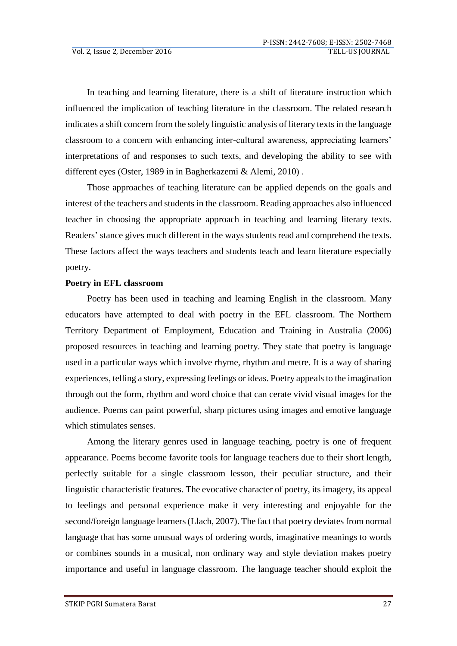In teaching and learning literature, there is a shift of literature instruction which influenced the implication of teaching literature in the classroom. The related research indicates a shift concern from the solely linguistic analysis of literary texts in the language classroom to a concern with enhancing inter-cultural awareness, appreciating learners' interpretations of and responses to such texts, and developing the ability to see with different eyes (Oster, 1989 in in Bagherkazemi & Alemi, 2010) .

Those approaches of teaching literature can be applied depends on the goals and interest of the teachers and students in the classroom. Reading approaches also influenced teacher in choosing the appropriate approach in teaching and learning literary texts. Readers' stance gives much different in the ways students read and comprehend the texts. These factors affect the ways teachers and students teach and learn literature especially poetry.

# **Poetry in EFL classroom**

Poetry has been used in teaching and learning English in the classroom. Many educators have attempted to deal with poetry in the EFL classroom. The Northern Territory Department of Employment, Education and Training in Australia (2006) proposed resources in teaching and learning poetry. They state that poetry is language used in a particular ways which involve rhyme, rhythm and metre. It is a way of sharing experiences, telling a story, expressing feelings or ideas. Poetry appeals to the imagination through out the form, rhythm and word choice that can cerate vivid visual images for the audience. Poems can paint powerful, sharp pictures using images and emotive language which stimulates senses.

Among the literary genres used in language teaching, poetry is one of frequent appearance. Poems become favorite tools for language teachers due to their short length, perfectly suitable for a single classroom lesson, their peculiar structure, and their linguistic characteristic features. The evocative character of poetry, its imagery, its appeal to feelings and personal experience make it very interesting and enjoyable for the second/foreign language learners (Llach, 2007). The fact that poetry deviates from normal language that has some unusual ways of ordering words, imaginative meanings to words or combines sounds in a musical, non ordinary way and style deviation makes poetry importance and useful in language classroom. The language teacher should exploit the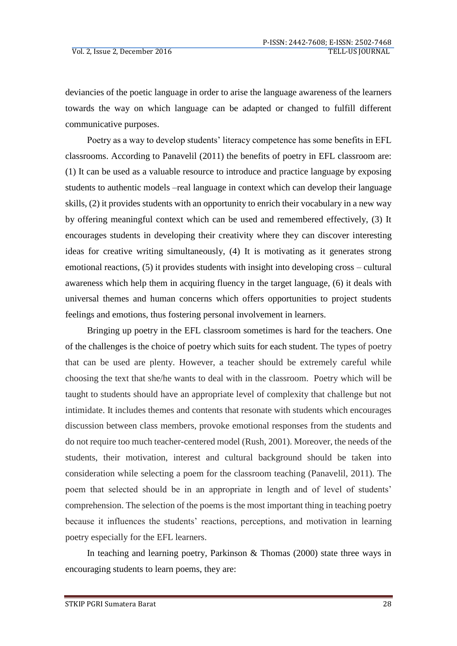deviancies of the poetic language in order to arise the language awareness of the learners towards the way on which language can be adapted or changed to fulfill different communicative purposes.

Poetry as a way to develop students' literacy competence has some benefits in EFL classrooms. According to Panavelil (2011) the benefits of poetry in EFL classroom are: (1) It can be used as a valuable resource to introduce and practice language by exposing students to authentic models –real language in context which can develop their language skills, (2) it provides students with an opportunity to enrich their vocabulary in a new way by offering meaningful context which can be used and remembered effectively, (3) It encourages students in developing their creativity where they can discover interesting ideas for creative writing simultaneously, (4) It is motivating as it generates strong emotional reactions, (5) it provides students with insight into developing cross – cultural awareness which help them in acquiring fluency in the target language, (6) it deals with universal themes and human concerns which offers opportunities to project students feelings and emotions, thus fostering personal involvement in learners.

Bringing up poetry in the EFL classroom sometimes is hard for the teachers. One of the challenges is the choice of poetry which suits for each student. The types of poetry that can be used are plenty. However, a teacher should be extremely careful while choosing the text that she/he wants to deal with in the classroom. Poetry which will be taught to students should have an appropriate level of complexity that challenge but not intimidate. It includes themes and contents that resonate with students which encourages discussion between class members, provoke emotional responses from the students and do not require too much teacher-centered model (Rush, 2001). Moreover, the needs of the students, their motivation, interest and cultural background should be taken into consideration while selecting a poem for the classroom teaching (Panavelil, 2011). The poem that selected should be in an appropriate in length and of level of students' comprehension. The selection of the poems is the most important thing in teaching poetry because it influences the students' reactions, perceptions, and motivation in learning poetry especially for the EFL learners.

In teaching and learning poetry, Parkinson  $\&$  Thomas (2000) state three ways in encouraging students to learn poems, they are: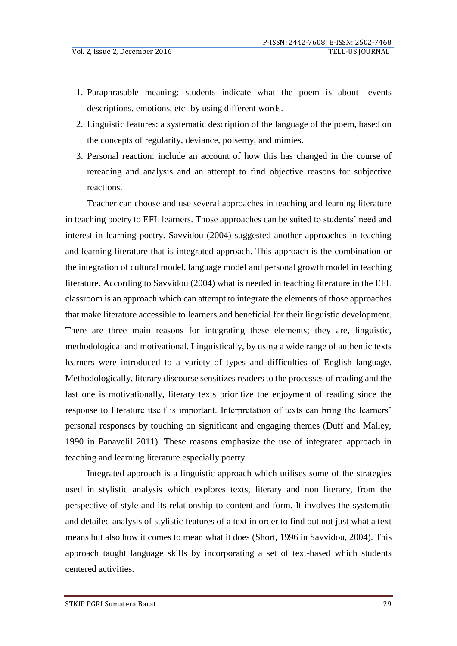- 1. Paraphrasable meaning: students indicate what the poem is about- events descriptions, emotions, etc- by using different words.
- 2. Linguistic features: a systematic description of the language of the poem, based on the concepts of regularity, deviance, polsemy, and mimies.
- 3. Personal reaction: include an account of how this has changed in the course of rereading and analysis and an attempt to find objective reasons for subjective reactions.

Teacher can choose and use several approaches in teaching and learning literature in teaching poetry to EFL learners. Those approaches can be suited to students' need and interest in learning poetry. Savvidou (2004) suggested another approaches in teaching and learning literature that is integrated approach. This approach is the combination or the integration of cultural model, language model and personal growth model in teaching literature. According to Savvidou (2004) what is needed in teaching literature in the EFL classroom is an approach which can attempt to integrate the elements of those approaches that make literature accessible to learners and beneficial for their linguistic development. There are three main reasons for integrating these elements; they are, linguistic, methodological and motivational. Linguistically, by using a wide range of authentic texts learners were introduced to a variety of types and difficulties of English language. Methodologically, literary discourse sensitizes readers to the processes of reading and the last one is motivationally, literary texts prioritize the enjoyment of reading since the response to literature itself is important. Interpretation of texts can bring the learners' personal responses by touching on significant and engaging themes (Duff and Malley, 1990 in Panavelil 2011). These reasons emphasize the use of integrated approach in teaching and learning literature especially poetry.

Integrated approach is a linguistic approach which utilises some of the strategies used in stylistic analysis which explores texts, literary and non literary, from the perspective of style and its relationship to content and form. It involves the systematic and detailed analysis of stylistic features of a text in order to find out not just what a text means but also how it comes to mean what it does (Short, 1996 in Savvidou, 2004). This approach taught language skills by incorporating a set of text-based which students centered activities.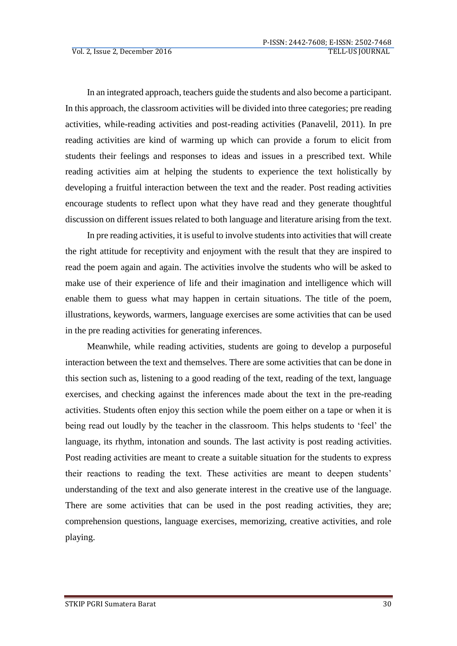In an integrated approach, teachers guide the students and also become a participant. In this approach, the classroom activities will be divided into three categories; pre reading activities, while-reading activities and post-reading activities (Panavelil, 2011). In pre reading activities are kind of warming up which can provide a forum to elicit from students their feelings and responses to ideas and issues in a prescribed text. While reading activities aim at helping the students to experience the text holistically by developing a fruitful interaction between the text and the reader. Post reading activities encourage students to reflect upon what they have read and they generate thoughtful discussion on different issues related to both language and literature arising from the text.

In pre reading activities, it is useful to involve students into activities that will create the right attitude for receptivity and enjoyment with the result that they are inspired to read the poem again and again. The activities involve the students who will be asked to make use of their experience of life and their imagination and intelligence which will enable them to guess what may happen in certain situations. The title of the poem, illustrations, keywords, warmers, language exercises are some activities that can be used in the pre reading activities for generating inferences.

Meanwhile, while reading activities, students are going to develop a purposeful interaction between the text and themselves. There are some activities that can be done in this section such as, listening to a good reading of the text, reading of the text, language exercises, and checking against the inferences made about the text in the pre-reading activities. Students often enjoy this section while the poem either on a tape or when it is being read out loudly by the teacher in the classroom. This helps students to 'feel' the language, its rhythm, intonation and sounds. The last activity is post reading activities. Post reading activities are meant to create a suitable situation for the students to express their reactions to reading the text. These activities are meant to deepen students' understanding of the text and also generate interest in the creative use of the language. There are some activities that can be used in the post reading activities, they are; comprehension questions, language exercises, memorizing, creative activities, and role playing.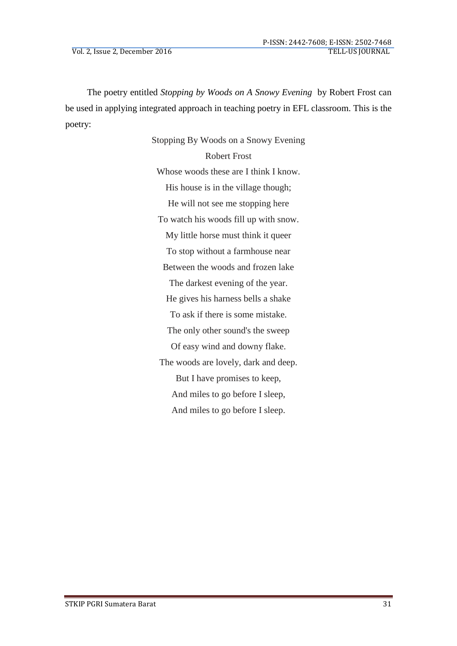The poetry entitled *Stopping by Woods on A Snowy Evening* by Robert Frost can be used in applying integrated approach in teaching poetry in EFL classroom. This is the poetry:

> Stopping By Woods on a Snowy Evening Robert Frost Whose woods these are I think I know. His house is in the village though; He will not see me stopping here To watch his woods fill up with snow. My little horse must think it queer To stop without a farmhouse near Between the woods and frozen lake The darkest evening of the year. He gives his harness bells a shake To ask if there is some mistake. The only other sound's the sweep Of easy wind and downy flake. The woods are lovely, dark and deep. But I have promises to keep, And miles to go before I sleep, And miles to go before I sleep.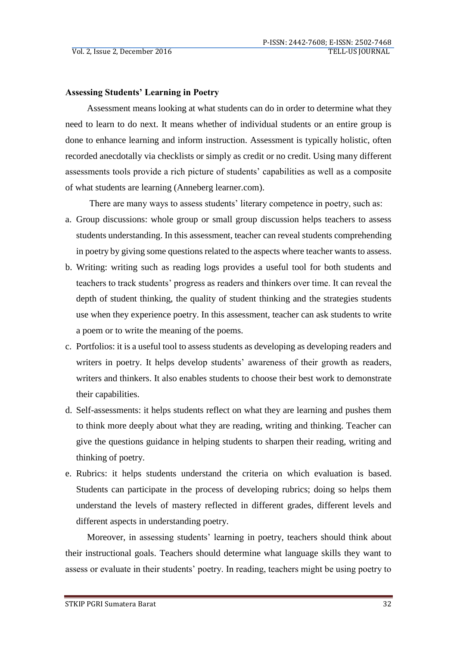## **Assessing Students' Learning in Poetry**

Assessment means looking at what students can do in order to determine what they need to learn to do next. It means whether of individual students or an entire group is done to enhance learning and inform instruction. Assessment is typically holistic, often recorded anecdotally via checklists or simply as credit or no credit. Using many different assessments tools provide a rich picture of students' capabilities as well as a composite of what students are learning (Anneberg learner.com).

There are many ways to assess students' literary competence in poetry, such as:

- a. Group discussions: whole group or small group discussion helps teachers to assess students understanding. In this assessment, teacher can reveal students comprehending in poetry by giving some questions related to the aspects where teacher wants to assess.
- b. Writing: writing such as reading logs provides a useful tool for both students and teachers to track students' progress as readers and thinkers over time. It can reveal the depth of student thinking, the quality of student thinking and the strategies students use when they experience poetry. In this assessment, teacher can ask students to write a poem or to write the meaning of the poems.
- c. Portfolios: it is a useful tool to assess students as developing as developing readers and writers in poetry. It helps develop students' awareness of their growth as readers, writers and thinkers. It also enables students to choose their best work to demonstrate their capabilities.
- d. Self-assessments: it helps students reflect on what they are learning and pushes them to think more deeply about what they are reading, writing and thinking. Teacher can give the questions guidance in helping students to sharpen their reading, writing and thinking of poetry.
- e. Rubrics: it helps students understand the criteria on which evaluation is based. Students can participate in the process of developing rubrics; doing so helps them understand the levels of mastery reflected in different grades, different levels and different aspects in understanding poetry.

Moreover, in assessing students' learning in poetry, teachers should think about their instructional goals. Teachers should determine what language skills they want to assess or evaluate in their students' poetry. In reading, teachers might be using poetry to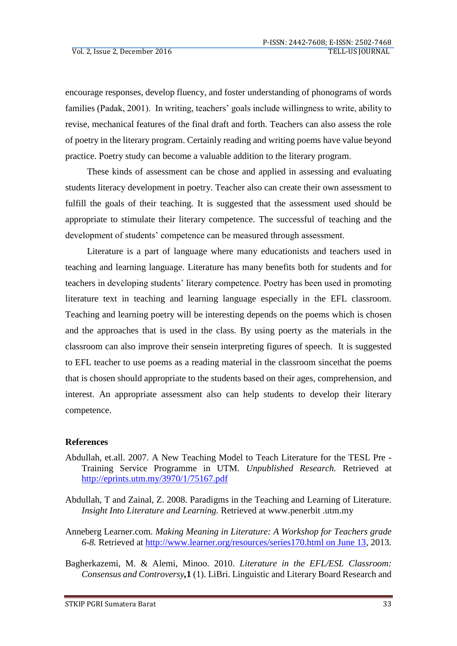encourage responses, develop fluency, and foster understanding of phonograms of words families (Padak, 2001). In writing, teachers' goals include willingness to write, ability to revise, mechanical features of the final draft and forth. Teachers can also assess the role of poetry in the literary program. Certainly reading and writing poems have value beyond practice. Poetry study can become a valuable addition to the literary program.

These kinds of assessment can be chose and applied in assessing and evaluating students literacy development in poetry. Teacher also can create their own assessment to fulfill the goals of their teaching. It is suggested that the assessment used should be appropriate to stimulate their literary competence. The successful of teaching and the development of students' competence can be measured through assessment.

Literature is a part of language where many educationists and teachers used in teaching and learning language. Literature has many benefits both for students and for teachers in developing students' literary competence. Poetry has been used in promoting literature text in teaching and learning language especially in the EFL classroom. Teaching and learning poetry will be interesting depends on the poems which is chosen and the approaches that is used in the class. By using poerty as the materials in the classroom can also improve their sensein interpreting figures of speech. It is suggested to EFL teacher to use poems as a reading material in the classroom sincethat the poems that is chosen should appropriate to the students based on their ages, comprehension, and interest. An appropriate assessment also can help students to develop their literary competence.

## **References**

- Abdullah, et.all. 2007. A New Teaching Model to Teach Literature for the TESL Pre Training Service Programme in UTM. *Unpublished Research.* Retrieved at <http://eprints.utm.my/3970/1/75167.pdf>
- Abdullah, T and Zainal, Z. 2008. Paradigms in the Teaching and Learning of Literature. *Insight Into Literature and Learning.* Retrieved at www.penerbit .utm.my
- Anneberg Learner.com. *Making Meaning in Literature: A Workshop for Teachers grade 6-8.* Retrieved at [http://www.learner.org/resources/series170.html on June 13,](http://www.learner.org/resources/series170.html%20on%20June%2013) 2013.
- Bagherkazemi, M. & Alemi, Minoo. 2010. *Literature in the EFL/ESL Classroom: Consensus and Controversy,***1** (1). LiBri. Linguistic and Literary Board Research and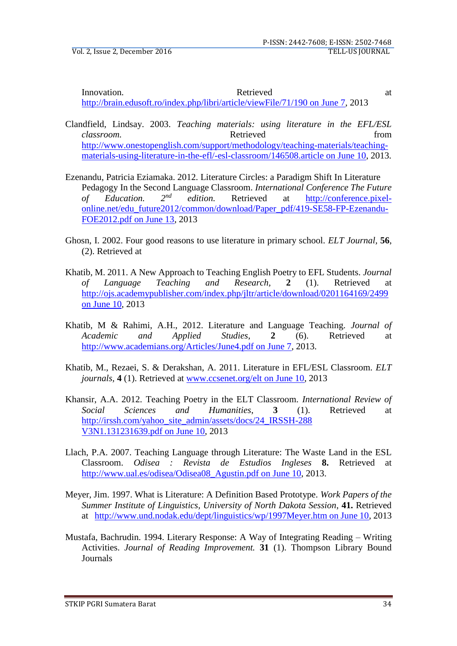Innovation. Retrieved at a set of the set of the Retrieved at a set of the set of the Retrieved at a set of the set of the set of the set of the set of the set of the set of the set of the set of the set of the set of the [http://brain.edusoft.ro/index.php/libri/article/viewFile/71/190 on](http://brain.edusoft.ro/index.php/libri/article/viewFile/71/190%20on%20June%207) June 7, 2013

- Clandfield, Lindsay. 2003. *Teaching materials: using literature in the EFL/ESL classroom.* **Retrieved heating** *classroom.* **from** [http://www.onestopenglish.com/support/methodology/teaching-materials/teaching](http://www.onestopenglish.com/support/methodology/teaching-materials/teaching-materials-using-literature-in-the-efl/-esl-classroom/146508.article%20on%20June%2010)[materials-using-literature-in-the-efl/-esl-classroom/146508.article on June 10,](http://www.onestopenglish.com/support/methodology/teaching-materials/teaching-materials-using-literature-in-the-efl/-esl-classroom/146508.article%20on%20June%2010) 2013.
- Ezenandu, Patricia Eziamaka. 2012. Literature Circles: a Paradigm Shift In Literature Pedagogy In the Second Language Classroom. *International Conference The Future of Education. 2nd edition.* Retrieved at [http://conference.pixel](http://conference.pixel-online.net/edu_future2012/common/download/Paper_pdf/419-SE58-FP-Ezenandu-FOE2012.pdf%20on%20June%2013)[online.net/edu\\_future2012/common/download/Paper\\_pdf/419-SE58-FP-Ezenandu-](http://conference.pixel-online.net/edu_future2012/common/download/Paper_pdf/419-SE58-FP-Ezenandu-FOE2012.pdf%20on%20June%2013)[FOE2012.pdf on June 13,](http://conference.pixel-online.net/edu_future2012/common/download/Paper_pdf/419-SE58-FP-Ezenandu-FOE2012.pdf%20on%20June%2013) 2013
- Ghosn, I. 2002. Four good reasons to use literature in primary school. *ELT Journal,* **56**, (2). Retrieved at
- Khatib, M. 2011. A New Approach to Teaching English Poetry to EFL Students. *Journal of Language Teaching and Research,* **2** (1). Retrieved at [http://ojs.academypublisher.com/index.php/jltr/article/download/0201164169/2499](http://ojs.academypublisher.com/index.php/jltr/article/download/0201164169/2499%20on%20June%2010)  [on June 10,](http://ojs.academypublisher.com/index.php/jltr/article/download/0201164169/2499%20on%20June%2010) 2013
- Khatib, M & Rahimi, A.H., 2012. Literature and Language Teaching. *Journal of Academic and Applied Studies*, **2** (6). Retrieved at [http://www.academians.org/Articles/June4.pdf on June 7,](http://www.academians.org/Articles/June4.pdf%20on%20June%207) 2013.
- Khatib, M., Rezaei, S. & Derakshan, A. 2011. Literature in EFL/ESL Classroom. *ELT journals,* **4** (1). Retrieved at [www.ccsenet.org/elt on June 10,](http://www.ccsenet.org/elt%20on%20June%2010) 2013
- Khansir, A.A. 2012. Teaching Poetry in the ELT Classroom. *International Review of Social Sciences and Humanities*, **3** (1). Retrieved at [http://irssh.com/yahoo\\_site\\_admin/assets/docs/24\\_IRSSH-288](http://irssh.com/yahoo_site_admin/assets/docs/24_IRSSH-288%20V3N1.131231639.pdf%20on%20June%2010)  [V3N1.131231639.pdf on June 10,](http://irssh.com/yahoo_site_admin/assets/docs/24_IRSSH-288%20V3N1.131231639.pdf%20on%20June%2010) 2013
- Llach, P.A. 2007. Teaching Language through Literature: The Waste Land in the ESL Classroom. *Odisea : Revista de Estudios Ingleses* **8.** Retrieved at [http://www.ual.es/odisea/Odisea08\\_Agustin.pdf on June 10,](http://www.ual.es/odisea/Odisea08_Agustin.pdf%20on%20June%2010) 2013.
- Meyer, Jim. 1997. What is Literature: A Definition Based Prototype. *Work Papers of the Summer Institute of Linguistics, University of North Dakota Session*, **41.** Retrieved at [http://www.und.nodak.edu/dept/linguistics/wp/1997Meyer.htm on June 10,](http://www.und.nodak.edu/dept/linguistics/wp/1997Meyer.htm%20on%20June%2010) 2013
- Mustafa, Bachrudin. 1994. Literary Response: A Way of Integrating Reading Writing Activities. *Journal of Reading Improvement.* **31** (1). Thompson Library Bound Journals